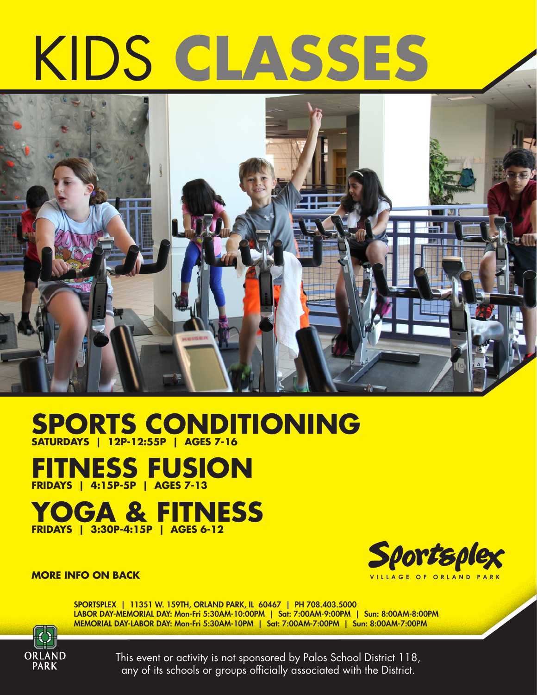# KIDS **CLASSES**



**SPORTS CONDITIONING SATURDAYS | 12P-12:55P | AGES 7-16**

**FITNESS FUSION FRIDAYS | 4:15P-5P | AGES 7-13**

## **YOGA & FITNESS FRIDAYS | 3:30P-4:15P | AGES 6-12**



#### **MORE INFO ON BACK**

SPORTSPLEX | 11351 W. 159TH, ORLAND PARK, IL 60467 | PH 708.403.5000 LABOR DAY-MEMORIAL DAY: Mon-Fri 5:30AM-10:00PM | Sat: 7:00AM-9:00PM | Sun: 8:00AM-8:00PM MEMORIAL DAY-LABOR DAY: Mon-Fri 5:30AM-10PM | Sat: 7:00AM-7:00PM | Sun: 8:00AM-7:00PM



This event or activity is not sponsored by Palos School District 118, any of its schools or groups officially associated with the District.